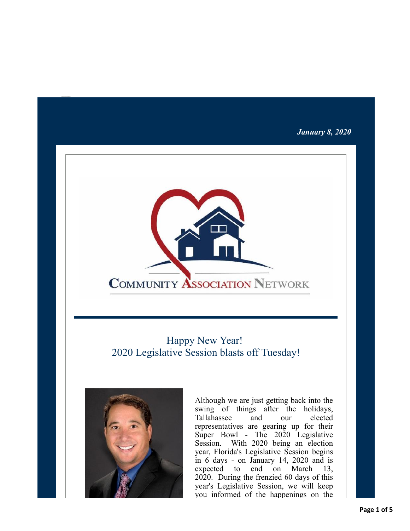### *January 8, 2020*



# Happy New Year! 2020 Legislative Session blasts off Tuesday!



Although we are just getting back into the swing of things after the holidays, Tallahassee and our elected representatives are gearing up for their Super Bowl - The 2020 Legislative Session. With 2020 being an election year, Florida's Legislative Session begins in 6 days - on January 14, 2020 and is expected to end on March 13, 2020. During the frenzied 60 days of this year's Legislative Session, we will keep you informed of the happenings on the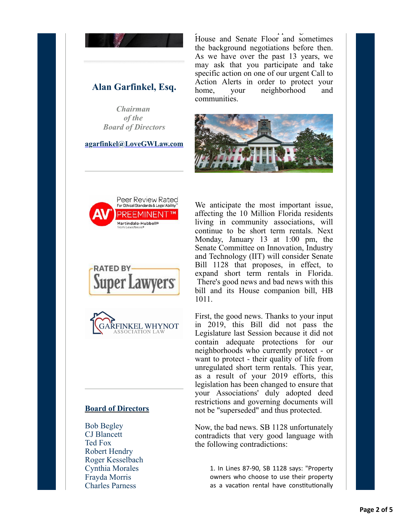

## **Alan Garfinkel, Esq.**

*Chairman of the Board of Directors*

#### **[agarfinkel@LoveGWLaw.com](mailto:agarfinkel@lovegwlaw.com?subject=CAN%20Alert)**

 $y = \frac{1}{\sqrt{2\pi}}$ House and Senate Floor and sometimes the background negotiations before then. As we have over the past 13 years, we may ask that you participate and take specific action on one of our urgent Call to Action Alerts in order to protect your home, your neighborhood and communities.









### **Board of Directors**

Bob Begley CJ Blancett Ted Fox Robert Hendry Roger Kesselbach Cynthia Morales Frayda Morris Charles Parness

We anticipate the most important issue, affecting the 10 Million Florida residents living in community associations, will continue to be short term rentals. Next Monday, January 13 at 1:00 pm, the Senate Committee on Innovation, Industry and Technology (IIT) will consider Senate Bill 1128 that proposes, in effect, to expand short term rentals in Florida. There's good news and bad news with this bill and its House companion bill, HB 1011.

First, the good news. Thanks to your input in 2019, this Bill did not pass the Legislature last Session because it did not contain adequate protections for our neighborhoods who currently protect - or want to protect - their quality of life from unregulated short term rentals. This year, as a result of your 2019 efforts, this legislation has been changed to ensure that your Associations' duly adopted deed restrictions and governing documents will not be "superseded" and thus protected.

Now, the bad news. SB 1128 unfortunately contradicts that very good language with the following contradictions:

> 1. In Lines 87-90, SB 1128 says: "Property owners who choose to use their property as a vacation rental have constitutionally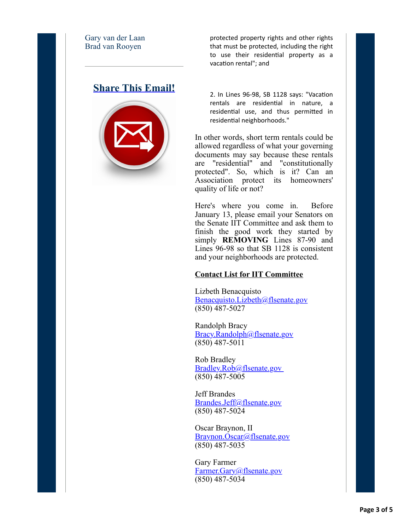Gary van der Laan Brad van Rooyen

## **[Share This Email!](http://ui.constantcontact.com/sa/fwtf.jsp?m=1126041375869&a=1133772738379&ea=rk-scca%40cfl.rr.com)**



protected property rights and other rights that must be protected, including the right to use their residential property as a vacation rental"; and

2. In Lines 96-98, SB 1128 says: "Vacation rentals are residential in nature, a residential use, and thus permitted in residential neighborhoods."

In other words, short term rentals could be allowed regardless of what your governing documents may say because these rentals are "residential" and "constitutionally protected". So, which is it? Can an Association protect its homeowners' quality of life or not?

Here's where you come in. Before January 13, please email your Senators on the Senate IIT Committee and ask them to finish the good work they started by simply **REMOVING** Lines 87-90 and Lines 96-98 so that SB 1128 is consistent and your neighborhoods are protected.

### **Contact List for IIT Committee**

Lizbeth Benacquisto [Benacquisto.Lizbeth@flsenate.gov](mailto:Benacquisto.Lizbeth@flsenate.gov?subject=SB%201128%20&body=Please%20REMOVE%20Lines%2087-90%20and%20Lines%2096-98%20so%20that%20SB%201128%20is%20consistent%20and%20your%20neighborhoods%20are%20protected.) (850) 487-5027

Randolph Bracy [Bracy.Randolph@flsenate.gov](mailto:Bracy.Randolph@flsenate.gov?subject=SB%201128&body=Please%20REMOVE%20Lines%2087-90%20and%20Lines%2096-98%20so%20that%20SB%201128%20is%20consistent%20and%20your%20neighborhoods%20are%20protected) (850) 487-5011

Rob Bradley [Bradley.Rob@flsenate.gov](mailto:Bradley.Rob@flsenate.gov?subject=SB%201128&body=Please%20REMOVE%20Lines%2087-90%20and%20Lines%2096-98%20so%20that%20SB%201128%20is%20consistent%20and%20your%20neighborhoods%20are%20protected.)  (850) 487-5005

Jeff Brandes [Brandes.Jeff@flsenate.gov](mailto:Brandes.Jeff@flsenate.gov?subject=SB%201128&body=Please%20REMOVE%20Lines%2087-90%20and%20Lines%2096-98%20so%20that%20SB%201128%20is%20consistent%20and%20your%20neighborhoods%20are%20protected.) (850) 487-5024

Oscar Braynon, II [Braynon.Oscar@flsenate.gov](mailto:Braynon.Oscar@flsenate.gov?subject=SB%201128&body=Please%20REMOVE%20Lines%2087-90%20and%20Lines%2096-98%20so%20that%20SB%201128%20is%20consistent%20and%20your%20neighborhoods%20are%20protected.) (850) 487-5035

Gary Farmer [Farmer.Gary@flsenate.gov](mailto:Farmer.Gary@flsenate.gov?subject=SB%201128&body=Please%20REMOVE%20Lines%2087-90%20and%20Lines%2096-98%20so%20that%20SB%201128%20is%20consistent%20and%20your%20neighborhoods%20are%20protected.) (850) 487-5034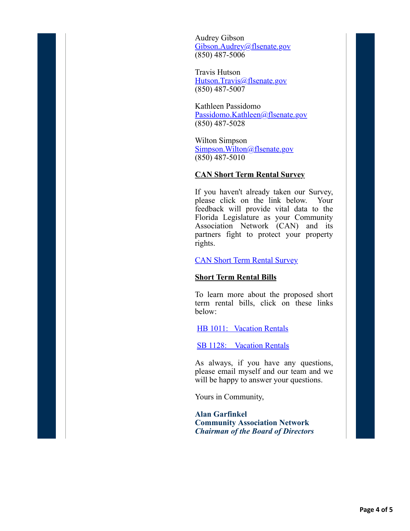Audrey Gibson [Gibson.Audrey@flsenate.gov](mailto:Gibson.Audrey@flsenate.gov?subject=SB%201128&body=Please%20REMOVE%20Lines%2087-90%20and%20Lines%2096-98%20so%20that%20SB%201128%20is%20consistent%20and%20your%20neighborhoods%20are%20protected.) (850) 487-5006

Travis Hutson [Hutson.Travis@flsenate.gov](mailto:Hutson.Travis@flsenate.gov?subject=SB%201128&body=Please%20REMOVE%20Lines%2087-90%20and%20Lines%2096-98%20so%20that%20SB%201128%20is%20consistent%20and%20your%20neighborhoods%20are%20protected.) (850) 487-5007

Kathleen Passidomo [Passidomo.Kathleen@flsenate.gov](mailto:Passidomo.Kathleen@flsenate.gov?subject=SB%201128&body=Please%20REMOVE%20Lines%2087-90%20and%20Lines%2096-98%20so%20that%20SB%201128%20is%20consistent%20and%20your%20neighborhoods%20are%20protected.) (850) 487-5028

Wilton Simpson [Simpson.Wilton@flsenate.gov](mailto:Simpson.Wilton@flsenate.gov?subject=SB%201128&body=Please%20REMOVE%20Lines%2087-90%20and%20Lines%2096-98%20so%20that%20SB%201128%20is%20consistent%20and%20your%20neighborhoods%20are%20protected.) (850) 487-5010

### **CAN Short Term Rental Survey**

If you haven't already taken our Survey, please click on the link below. Your feedback will provide vital data to the Florida Legislature as your Community Association Network (CAN) and its partners fight to protect your property rights.

### [CAN Short Term Rental Survey](http://r20.rs6.net/tn.jsp?f=001cHl-zgo-G0m6299JEOUg4Mbcd-v0HoSOjLi3kHzJAfz9QMyqavg_hOmo1mFg5mA47eM4ZAmiouhd35A6mbFQWpWERANkG5u_fFaEAgYTAiLX1KXbQbfJH5_ZxJQ6uRHGPpFS_Cd5H8_jkkyeaz5so6XVwUCKrM6odXEXk9NMYGA1Zyx3wvIQQZi96J9w3jpZ&c=2ZH5_Q-PaPPCOLLLkYqLrYYJU0jBE-QAOrUzZKSq34-U8i74Zc9Esw==&ch=WtzxX_Wg-FrrL0EKRoY1_m_nOU8BmzVguvwKA_AW-o9FbyG01P3BKw==)

### **Short Term Rental Bills**

To learn more about the proposed short term rental bills, click on these links below:

[HB 1011: Vacation Rentals](http://r20.rs6.net/tn.jsp?f=001cHl-zgo-G0m6299JEOUg4Mbcd-v0HoSOjLi3kHzJAfz9QMyqavg_hLTVbLxCEE66QvKrRW9iFNl4YFqKBFZUrD3V3zeN9ANqcY85m4FnJIR5RPm7l63fYHnxAiDToamGPCUqadC-mMUsVKvbofrwT8tij1gmoYBH7V_nW1Rz4Ge0oqFC2sbjA0pp6P9vzO2nICU9eyMNF19tgfhx27rgb0PkalzYxbsc1DsmlLKc7uGqJ0MiFGzgh0xj7yUKIcmBHMpNOfuz0gmgSkhhFiVORQwoxVOKnh6XOcuOOm3q1Tii9IaEiha2bm3x3TjH6kOaEFLvZWWyYhZ46sH3pPtTXw==&c=2ZH5_Q-PaPPCOLLLkYqLrYYJU0jBE-QAOrUzZKSq34-U8i74Zc9Esw==&ch=WtzxX_Wg-FrrL0EKRoY1_m_nOU8BmzVguvwKA_AW-o9FbyG01P3BKw==)

[SB 1128: Vacation Rentals](http://r20.rs6.net/tn.jsp?f=001cHl-zgo-G0m6299JEOUg4Mbcd-v0HoSOjLi3kHzJAfz9QMyqavg_hLTVbLxCEE66t7V16lnMKKpuiGPdaOUNqGI0v3a4piw3oLRusHnDRPLSrtRnSROXaACUD-3zPmyBjhiI2_GVCqlxOHExopUvMddz3zoXWiX3nnr2k6QeqDRPPhXgQVMLni9btS6TvuiZyQUE0dbSsDHRS5BZPg5yYJtaiJ5Xq8CZkTz3sKzUYHCqKfVTn-txYa1k1O-fnamhR9L67r1ANiHIwRNcTPj-JKLNayjZxHKK6yIeIuaurTC588uG709qqLNNOigBBaww19zzw1G95SNaS5rK0fCCZA==&c=2ZH5_Q-PaPPCOLLLkYqLrYYJU0jBE-QAOrUzZKSq34-U8i74Zc9Esw==&ch=WtzxX_Wg-FrrL0EKRoY1_m_nOU8BmzVguvwKA_AW-o9FbyG01P3BKw==)

As always, if you have any questions, please email myself and our team and we will be happy to answer your questions.

Yours in Community,

**Alan Garfinkel Community Association Network** *Chairman of the Board of Directors*